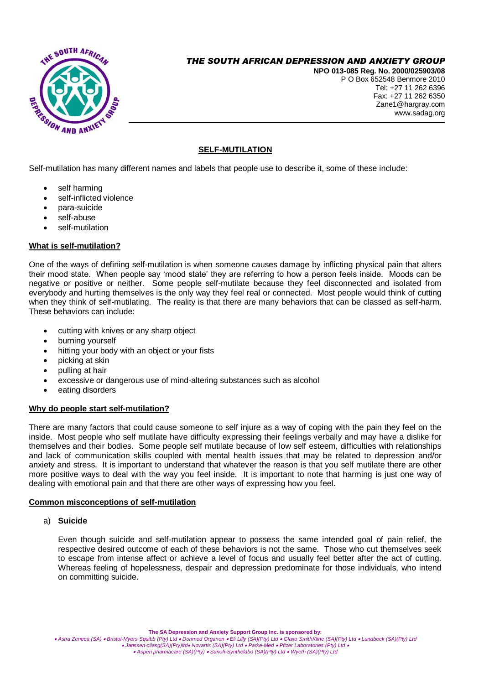

# *THE SOUTH AFRICAN DEPRESSION AND ANXIETY GROUP*

**NPO 013-085 Reg. No. 2000/025903/08** P O Box 652548 Benmore 2010 Tel: +27 11 262 6396 Fax: +27 11 262 6350 Zane1@hargray.com www.sadag.org

## **SELF-MUTILATION**

Self-mutilation has many different names and labels that people use to describe it, some of these include:

- self harming
- self-inflicted violence
- para-suicide
- self-abuse
- self-mutilation

## **What is self-mutilation?**

One of the ways of defining self-mutilation is when someone causes damage by inflicting physical pain that alters their mood state. When people say 'mood state' they are referring to how a person feels inside. Moods can be negative or positive or neither. Some people self-mutilate because they feel disconnected and isolated from everybody and hurting themselves is the only way they feel real or connected. Most people would think of cutting when they think of self-mutilating. The reality is that there are many behaviors that can be classed as self-harm. These behaviors can include:

- cutting with knives or any sharp object
- burning yourself
- hitting your body with an object or your fists
- picking at skin
- pulling at hair
- excessive or dangerous use of mind-altering substances such as alcohol
- eating disorders

### **Why do people start self-mutilation?**

There are many factors that could cause someone to self injure as a way of coping with the pain they feel on the inside. Most people who self mutilate have difficulty expressing their feelings verbally and may have a dislike for themselves and their bodies. Some people self mutilate because of low self esteem, difficulties with relationships and lack of communication skills coupled with mental health issues that may be related to depression and/or anxiety and stress. It is important to understand that whatever the reason is that you self mutilate there are other more positive ways to deal with the way you feel inside. It is important to note that harming is just one way of dealing with emotional pain and that there are other ways of expressing how you feel.

## **Common misconceptions of self-mutilation**

### a) **Suicide**

Even though suicide and self-mutilation appear to possess the same intended goal of pain relief, the respective desired outcome of each of these behaviors is not the same. Those who cut themselves seek to escape from intense affect or achieve a level of focus and usually feel better after the act of cutting. Whereas feeling of hopelessness, despair and depression predominate for those individuals, who intend on committing suicide.

Astra Zeneca (SA) • Bristol-Myers Squibb (Pty) Ltd • Donmed Organon • Eli Lilly (SA)(Pty) Ltd • Glaxo SmithKline (SA)(Pty) Ltd • Lundbeck (SA)(Pty) Ltd • Lundbeck (SA)(Pty) Ltd • Danssen-cilasg(SA)(Pty)Itd• Novartis (SA)(P *Aspen pharmacare (SA)(Pty) Sanofi-Synthelabo (SA)(Pty) Ltd Wyeth (SA)(Pty) Ltd*